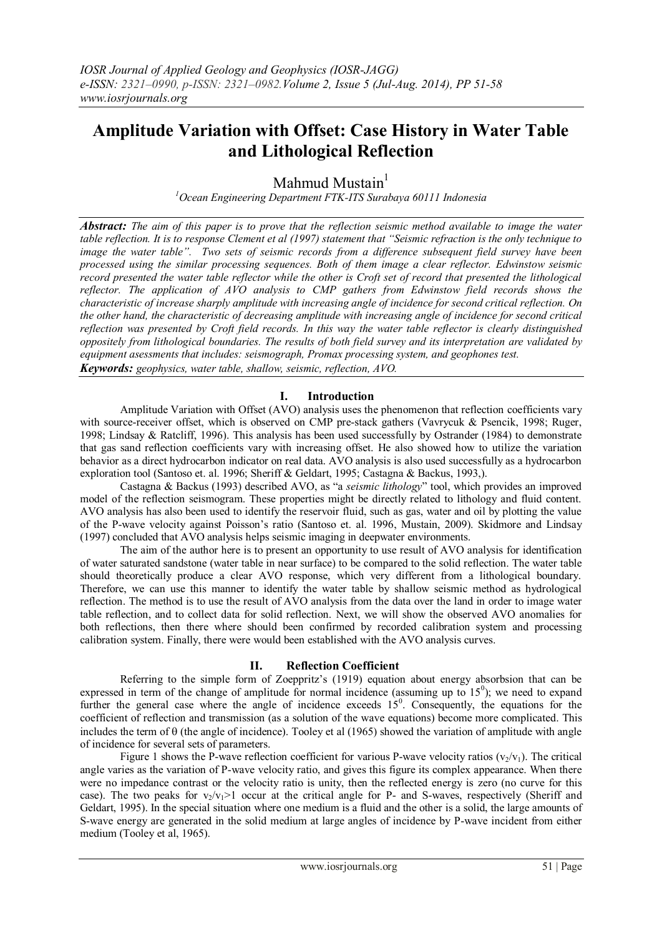# **Amplitude Variation with Offset: Case History in Water Table and Lithological Reflection**

Mahmud Mustain $<sup>1</sup>$ </sup>

*<sup>1</sup>Ocean Engineering Department FTK-ITS Surabaya 60111 Indonesia*

*Abstract: The aim of this paper is to prove that the reflection seismic method available to image the water table reflection. It is to response Clement et al (1997) statement that "Seismic refraction is the only technique to image the water table". Two sets of seismic records from a difference subsequent field survey have been processed using the similar processing sequences. Both of them image a clear reflector. Edwinstow seismic record presented the water table reflector while the other is Croft set of record that presented the lithological reflector. The application of AVO analysis to CMP gathers from Edwinstow field records shows the characteristic of increase sharply amplitude with increasing angle of incidence for second critical reflection. On the other hand, the characteristic of decreasing amplitude with increasing angle of incidence for second critical reflection was presented by Croft field records. In this way the water table reflector is clearly distinguished oppositely from lithological boundaries. The results of both field survey and its interpretation are validated by equipment asessments that includes: seismograph, Promax processing system, and geophones test. Keywords: geophysics, water table, shallow, seismic, reflection, AVO.*

# **I. Introduction**

Amplitude Variation with Offset (AVO) analysis uses the phenomenon that reflection coefficients vary with source-receiver offset, which is observed on CMP pre-stack gathers (Vavrycuk & Psencik, 1998; Ruger, 1998; Lindsay & Ratcliff, 1996). This analysis has been used successfully by Ostrander (1984) to demonstrate that gas sand reflection coefficients vary with increasing offset. He also showed how to utilize the variation behavior as a direct hydrocarbon indicator on real data. AVO analysis is also used successfully as a hydrocarbon exploration tool (Santoso et. al. 1996; Sheriff & Geldart, 1995; Castagna & Backus, 1993,).

Castagna & Backus (1993) described AVO, as "a *seismic lithology*" tool, which provides an improved model of the reflection seismogram. These properties might be directly related to lithology and fluid content. AVO analysis has also been used to identify the reservoir fluid, such as gas, water and oil by plotting the value of the P-wave velocity against Poisson's ratio (Santoso et. al. 1996, Mustain, 2009). Skidmore and Lindsay (1997) concluded that AVO analysis helps seismic imaging in deepwater environments.

The aim of the author here is to present an opportunity to use result of AVO analysis for identification of water saturated sandstone (water table in near surface) to be compared to the solid reflection. The water table should theoretically produce a clear AVO response, which very different from a lithological boundary. Therefore, we can use this manner to identify the water table by shallow seismic method as hydrological reflection. The method is to use the result of AVO analysis from the data over the land in order to image water table reflection, and to collect data for solid reflection. Next, we will show the observed AVO anomalies for both reflections, then there where should been confirmed by recorded calibration system and processing calibration system. Finally, there were would been established with the AVO analysis curves.

# **II. Reflection Coefficient**

Referring to the simple form of Zoeppritz's (1919) equation about energy absorbsion that can be expressed in term of the change of amplitude for normal incidence (assuming up to  $15^{\circ}$ ); we need to expand further the general case where the angle of incidence exceeds  $15^{\circ}$ . Consequently, the equations for the coefficient of reflection and transmission (as a solution of the wave equations) become more complicated. This includes the term of  $\theta$  (the angle of incidence). Tooley et al (1965) showed the variation of amplitude with angle of incidence for several sets of parameters.

Figure 1 shows the P-wave reflection coefficient for various P-wave velocity ratios  $(v_2/v_1)$ . The critical angle varies as the variation of P-wave velocity ratio, and gives this figure its complex appearance. When there were no impedance contrast or the velocity ratio is unity, then the reflected energy is zero (no curve for this case). The two peaks for  $v_2/v_1>1$  occur at the critical angle for P- and S-waves, respectively (Sheriff and Geldart, 1995). In the special situation where one medium is a fluid and the other is a solid, the large amounts of S-wave energy are generated in the solid medium at large angles of incidence by P-wave incident from either medium (Tooley et al, 1965).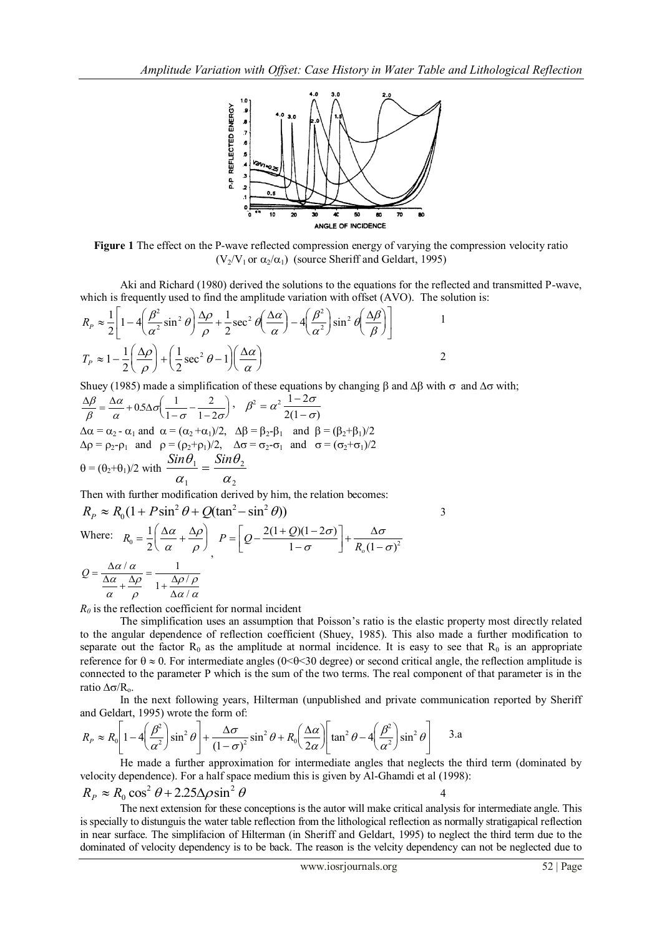

**Figure 1** The effect on the P-wave reflected compression energy of varying the compression velocity ratio  $(V_2/V_1$  or  $\alpha_2/\alpha_1)$  (source Sheriff and Geldart, 1995)

Aki and Richard (1980) derived the solutions to the equations for the reflected and transmitted P-wave, which is frequently used to find the amplitude variation with offset (AVO). The solution is:

$$
R_{P} \approx \frac{1}{2} \left[ 1 - 4 \left( \frac{\beta^{2}}{\alpha^{2}} \sin^{2} \theta \right) \frac{\Delta \rho}{\rho} + \frac{1}{2} \sec^{2} \theta \left( \frac{\Delta \alpha}{\alpha} \right) - 4 \left( \frac{\beta^{2}}{\alpha^{2}} \right) \sin^{2} \theta \left( \frac{\Delta \beta}{\beta} \right) \right]
$$
  

$$
T_{P} \approx 1 - \frac{1}{2} \left( \frac{\Delta \rho}{\rho} \right) + \left( \frac{1}{2} \sec^{2} \theta - 1 \right) \left( \frac{\Delta \alpha}{\alpha} \right)
$$

Shuey (1985) made a simplification of these equations by changing  $\beta$  and  $\Delta\beta$  with  $\sigma$  and  $\Delta\sigma$  with;

$$
\frac{\Delta\beta}{\beta} = \frac{\Delta\alpha}{\alpha} + 0.5\Delta\sigma \left(\frac{1}{1-\sigma} - \frac{2}{1-2\sigma}\right), \quad \beta^2 = \alpha^2 \frac{1-2\sigma}{2(1-\sigma)}
$$
  
\Delta\alpha = \alpha\_2 - \alpha\_1 \text{ and } \alpha = (\alpha\_2 + \alpha\_1)/2, \quad \Delta\beta = \beta\_2 - \beta\_1 \text{ and } \beta = (\beta\_2 + \beta\_1)/2  
\Delta\rho = \rho\_2 - \rho\_1 \text{ and } \rho = (\rho\_2 + \rho\_1)/2, \quad \Delta\sigma = \sigma\_2 - \sigma\_1 \text{ and } \sigma = (\sigma\_2 + \sigma\_1)/2  
\theta = (\theta\_2 + \theta\_1)/2 \text{ with } \frac{Sin\theta\_1}{\alpha\_1} = \frac{Sin\theta\_2}{\alpha\_2}

Then with further modification derived by him, the relation becomes:

$$
R_P \approx R_0 \left(1 + P \sin^2 \theta + Q(\tan^2 - \sin^2 \theta)\right)
$$
  
Where:  $R_0 = \frac{1}{2} \left(\frac{\Delta \alpha}{\alpha} + \frac{\Delta \rho}{\rho}\right) P = \left[Q - \frac{2(1 + Q)(1 - 2\sigma)}{1 - \sigma}\right] + \frac{\Delta \sigma}{R_0 (1 - \sigma)^2}$   

$$
Q = \frac{\Delta \alpha / \alpha}{\frac{\Delta \alpha}{\alpha} + \frac{\Delta \rho}{\rho}} = \frac{1}{1 + \frac{\Delta \rho / \rho}{\Delta \alpha / \alpha}}
$$

 $R_0$  is the reflection coefficient for normal incident

The simplification uses an assumption that Poisson's ratio is the elastic property most directly related to the angular dependence of reflection coefficient (Shuey, 1985). This also made a further modification to separate out the factor  $R_0$  as the amplitude at normal incidence. It is easy to see that  $R_0$  is an appropriate reference for  $\theta \approx 0$ . For intermediate angles (0<0<30 degree) or second critical angle, the reflection amplitude is connected to the parameter P which is the sum of the two terms. The real component of that parameter is in the ratio  $\Delta \sigma / R_{o}$ .

3

4

In the next following years, Hilterman (unpublished and private communication reported by Sheriff and Geldart, 1995) wrote the form of:

$$
R_P \approx R_0 \left[ 1 - 4 \left( \frac{\beta^2}{\alpha^2} \right) \sin^2 \theta \right] + \frac{\Delta \sigma}{(1 - \sigma)^2} \sin^2 \theta + R_0 \left( \frac{\Delta \alpha}{2\alpha} \right) \left[ \tan^2 \theta - 4 \left( \frac{\beta^2}{\alpha^2} \right) \sin^2 \theta \right] \quad 3. a
$$

He made a further approximation for intermediate angles that neglects the third term (dominated by velocity dependence). For a half space medium this is given by Al-Ghamdi et al (1998):

$$
R_p \approx R_0 \cos^2 \theta + 2.25 \Delta \rho \sin^2 \theta
$$

The next extension for these conceptions is the autor will make critical analysis for intermediate angle. This is specially to distunguis the water table reflection from the lithological reflection as normally stratigapical reflection in near surface. The simplifacion of Hilterman (in Sheriff and Geldart, 1995) to neglect the third term due to the dominated of velocity dependency is to be back. The reason is the velcity dependency can not be neglected due to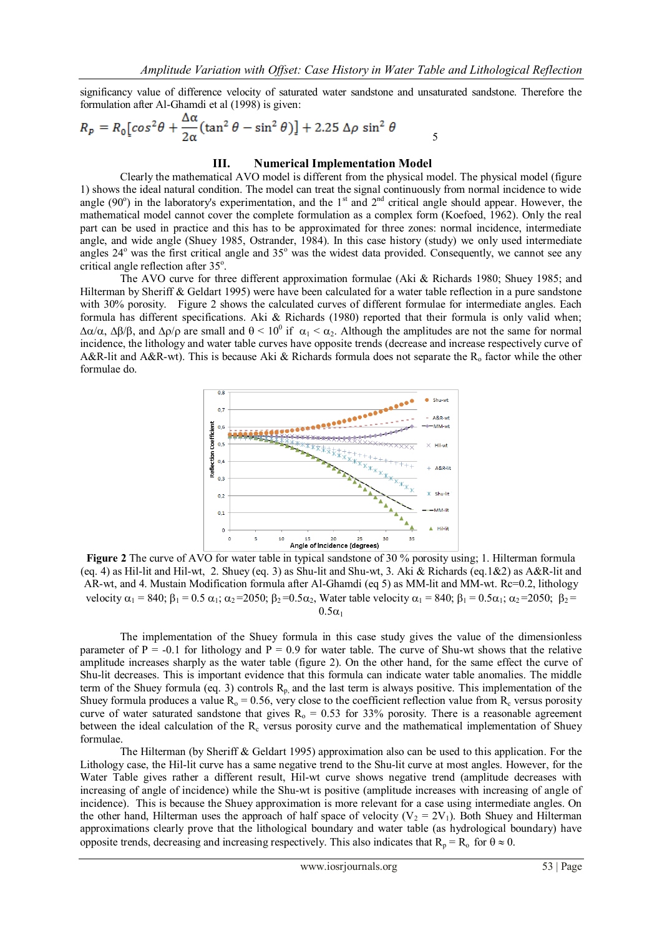significancy value of difference velocity of saturated water sandstone and unsaturated sandstone. Therefore the formulation after Al-Ghamdi et al (1998) is given:

$$
R_p = R_0 \left[ \cos^2 \theta + \frac{\Delta \alpha}{2\alpha} (\tan^2 \theta - \sin^2 \theta) \right] + 2.25 \Delta \rho \sin^2 \theta
$$

### **III. Numerical Implementation Model**

Clearly the mathematical AVO model is different from the physical model. The physical model (figure 1) shows the ideal natural condition. The model can treat the signal continuously from normal incidence to wide angle (90 $\degree$ ) in the laboratory's experimentation, and the 1<sup>st</sup> and 2<sup>nd</sup> critical angle should appear. However, the mathematical model cannot cover the complete formulation as a complex form (Koefoed, 1962). Only the real part can be used in practice and this has to be approximated for three zones: normal incidence, intermediate angle, and wide angle (Shuey 1985, Ostrander, 1984). In this case history (study) we only used intermediate angles 24<sup>°</sup> was the first critical angle and 35<sup>°</sup> was the widest data provided. Consequently, we cannot see any critical angle reflection after 35°.

The AVO curve for three different approximation formulae (Aki & Richards 1980; Shuey 1985; and Hilterman by Sheriff & Geldart 1995) were have been calculated for a water table reflection in a pure sandstone with 30% porosity. Figure 2 shows the calculated curves of different formulae for intermediate angles. Each formula has different specifications. Aki & Richards (1980) reported that their formula is only valid when;  $\Delta\alpha/\alpha$ ,  $\Delta\beta/\beta$ , and  $\Delta\rho/\rho$  are small and  $\theta < 10^0$  if  $\alpha_1 < \alpha_2$ . Although the amplitudes are not the same for normal incidence, the lithology and water table curves have opposite trends (decrease and increase respectively curve of A&R-lit and A&R-wt). This is because Aki & Richards formula does not separate the  $R_0$  factor while the other formulae do.



**Figure 2** The curve of AVO for water table in typical sandstone of 30 % porosity using: 1. Hilterman formula (eq. 4) as Hil-lit and Hil-wt, 2. Shuey (eq. 3) as Shu-lit and Shu-wt, 3. Aki & Richards (eq.1&2) as A&R-lit and AR-wt, and 4. Mustain Modification formula after Al-Ghamdi (eq 5) as MM-lit and MM-wt. Rc=0.2, lithology velocity  $\alpha_1 = 840$ ;  $\beta_1 = 0.5 \alpha_1$ ;  $\alpha_2 = 2050$ ;  $\beta_2 = 0.5\alpha_2$ , Water table velocity  $\alpha_1 = 840$ ;  $\beta_1 = 0.5\alpha_1$ ;  $\alpha_2 = 2050$ ;  $\beta_2 =$  $0.5\alpha_1$ 

The implementation of the Shuey formula in this case study gives the value of the dimensionless parameter of  $P = -0.1$  for lithology and  $P = 0.9$  for water table. The curve of Shu-wt shows that the relative amplitude increases sharply as the water table (figure 2). On the other hand, for the same effect the curve of Shu-lit decreases. This is important evidence that this formula can indicate water table anomalies. The middle term of the Shuey formula (eq. 3) controls  $R<sub>p</sub>$ , and the last term is always positive. This implementation of the Shuey formula produces a value  $R_0 = 0.56$ , very close to the coefficient reflection value from  $R_c$  versus porosity curve of water saturated sandstone that gives  $R_0 = 0.53$  for 33% porosity. There is a reasonable agreement between the ideal calculation of the  $R_c$  versus porosity curve and the mathematical implementation of Shuey formulae.

The Hilterman (by Sheriff & Geldart 1995) approximation also can be used to this application. For the Lithology case, the Hil-lit curve has a same negative trend to the Shu-lit curve at most angles. However, for the Water Table gives rather a different result, Hil-wt curve shows negative trend (amplitude decreases with increasing of angle of incidence) while the Shu-wt is positive (amplitude increases with increasing of angle of incidence). This is because the Shuey approximation is more relevant for a case using intermediate angles. On the other hand, Hilterman uses the approach of half space of velocity ( $V_2 = 2V_1$ ). Both Shuey and Hilterman approximations clearly prove that the lithological boundary and water table (as hydrological boundary) have opposite trends, decreasing and increasing respectively. This also indicates that  $R_p = R_o$  for  $\theta \approx 0$ .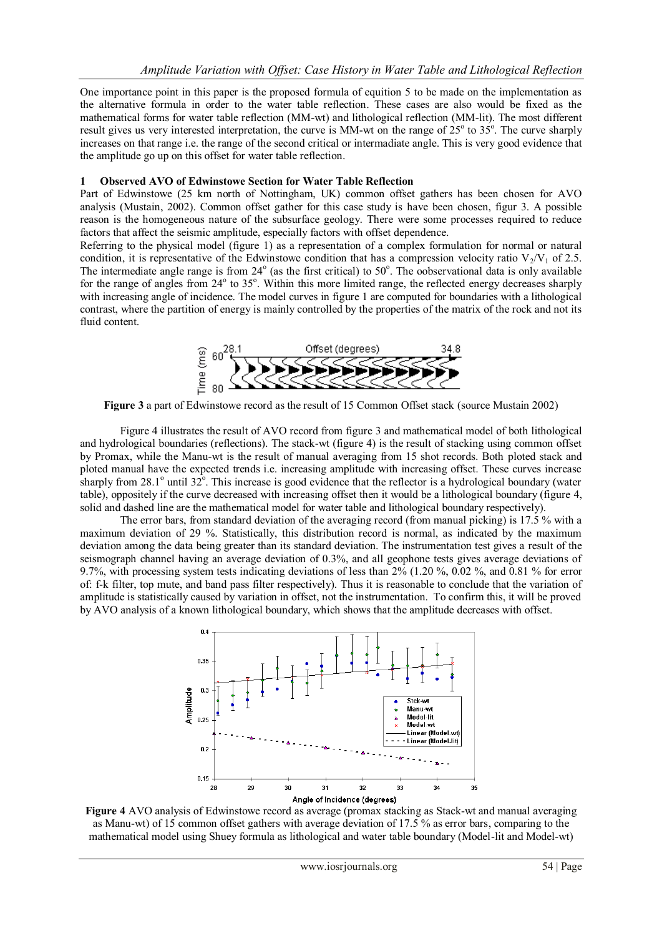One importance point in this paper is the proposed formula of equition 5 to be made on the implementation as the alternative formula in order to the water table reflection. These cases are also would be fixed as the mathematical forms for water table reflection (MM-wt) and lithological reflection (MM-lit). The most different result gives us very interested interpretation, the curve is MM-wt on the range of  $25^\circ$  to  $35^\circ$ . The curve sharply increases on that range i.e. the range of the second critical or intermadiate angle. This is very good evidence that the amplitude go up on this offset for water table reflection.

## **1 Observed AVO of Edwinstowe Section for Water Table Reflection**

Part of Edwinstowe (25 km north of Nottingham, UK) common offset gathers has been chosen for AVO analysis (Mustain, 2002). Common offset gather for this case study is have been chosen, figur 3. A possible reason is the homogeneous nature of the subsurface geology. There were some processes required to reduce factors that affect the seismic amplitude, especially factors with offset dependence.

Referring to the physical model (figure 1) as a representation of a complex formulation for normal or natural condition, it is representative of the Edwinstowe condition that has a compression velocity ratio  $V_2/V_1$  of 2.5. The intermediate angle range is from  $24^\circ$  (as the first critical) to  $50^\circ$ . The oobservational data is only available for the range of angles from 24° to 35°. Within this more limited range, the reflected energy decreases sharply with increasing angle of incidence. The model curves in figure 1 are computed for boundaries with a lithological contrast, where the partition of energy is mainly controlled by the properties of the matrix of the rock and not its fluid content.



**Figure 3** a part of Edwinstowe record as the result of 15 Common Offset stack (source Mustain 2002)

Figure 4 illustrates the result of AVO record from figure 3 and mathematical model of both lithological and hydrological boundaries (reflections). The stack-wt (figure 4) is the result of stacking using common offset by Promax, while the Manu-wt is the result of manual averaging from 15 shot records. Both ploted stack and ploted manual have the expected trends i.e. increasing amplitude with increasing offset. These curves increase sharply from 28.1 $^{\circ}$  until 32 $^{\circ}$ . This increase is good evidence that the reflector is a hydrological boundary (water table), oppositely if the curve decreased with increasing offset then it would be a lithological boundary (figure 4, solid and dashed line are the mathematical model for water table and lithological boundary respectively).

The error bars, from standard deviation of the averaging record (from manual picking) is 17.5 % with a maximum deviation of 29 %. Statistically, this distribution record is normal, as indicated by the maximum deviation among the data being greater than its standard deviation. The instrumentation test gives a result of the seismograph channel having an average deviation of 0.3%, and all geophone tests gives average deviations of 9.7%, with processing system tests indicating deviations of less than 2% (1.20 %, 0.02 %, and 0.81 % for error of: f-k filter, top mute, and band pass filter respectively). Thus it is reasonable to conclude that the variation of amplitude is statistically caused by variation in offset, not the instrumentation. To confirm this, it will be proved by AVO analysis of a known lithological boundary, which shows that the amplitude decreases with offset.



**Figure 4** AVO analysis of Edwinstowe record as average (promax stacking as Stack-wt and manual averaging as Manu-wt) of 15 common offset gathers with average deviation of 17.5 % as error bars, comparing to the mathematical model using Shuey formula as lithological and water table boundary (Model-lit and Model-wt)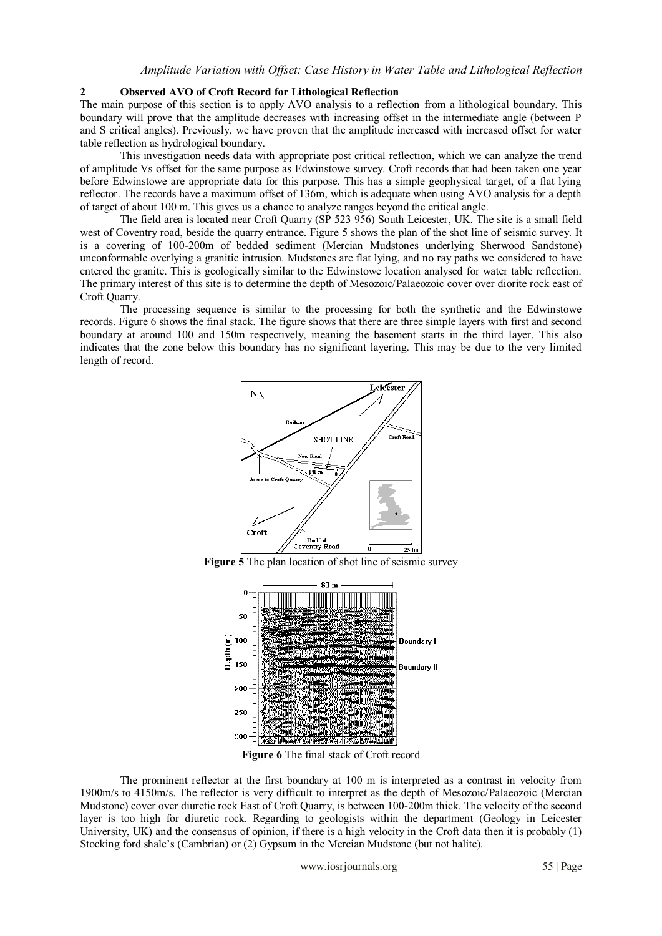# **2 Observed AVO of Croft Record for Lithological Reflection**

The main purpose of this section is to apply AVO analysis to a reflection from a lithological boundary. This boundary will prove that the amplitude decreases with increasing offset in the intermediate angle (between P and S critical angles). Previously, we have proven that the amplitude increased with increased offset for water table reflection as hydrological boundary.

This investigation needs data with appropriate post critical reflection, which we can analyze the trend of amplitude Vs offset for the same purpose as Edwinstowe survey. Croft records that had been taken one year before Edwinstowe are appropriate data for this purpose. This has a simple geophysical target, of a flat lying reflector. The records have a maximum offset of 136m, which is adequate when using AVO analysis for a depth of target of about 100 m. This gives us a chance to analyze ranges beyond the critical angle.

The field area is located near Croft Quarry (SP 523 956) South Leicester, UK. The site is a small field west of Coventry road, beside the quarry entrance. Figure 5 shows the plan of the shot line of seismic survey. It is a covering of 100-200m of bedded sediment (Mercian Mudstones underlying Sherwood Sandstone) unconformable overlying a granitic intrusion. Mudstones are flat lying, and no ray paths we considered to have entered the granite. This is geologically similar to the Edwinstowe location analysed for water table reflection. The primary interest of this site is to determine the depth of Mesozoic/Palaeozoic cover over diorite rock east of Croft Quarry.

The processing sequence is similar to the processing for both the synthetic and the Edwinstowe records. Figure 6 shows the final stack. The figure shows that there are three simple layers with first and second boundary at around 100 and 150m respectively, meaning the basement starts in the third layer. This also indicates that the zone below this boundary has no significant layering. This may be due to the very limited length of record.



**Figure 5** The plan location of shot line of seismic survey



**Figure 6** The final stack of Croft record

The prominent reflector at the first boundary at 100 m is interpreted as a contrast in velocity from 1900m/s to 4150m/s. The reflector is very difficult to interpret as the depth of Mesozoic/Palaeozoic (Mercian Mudstone) cover over diuretic rock East of Croft Quarry, is between 100-200m thick. The velocity of the second layer is too high for diuretic rock. Regarding to geologists within the department (Geology in Leicester University, UK) and the consensus of opinion, if there is a high velocity in the Croft data then it is probably (1) Stocking ford shale's (Cambrian) or (2) Gypsum in the Mercian Mudstone (but not halite).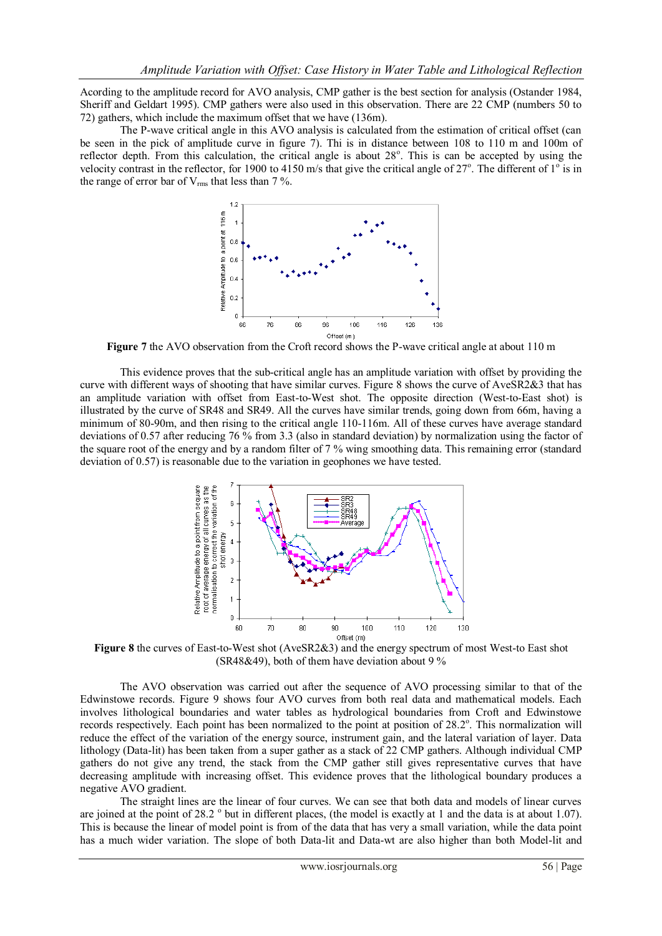Acording to the amplitude record for AVO analysis, CMP gather is the best section for analysis (Ostander 1984, Sheriff and Geldart 1995). CMP gathers were also used in this observation. There are 22 CMP (numbers 50 to 72) gathers, which include the maximum offset that we have (136m).

The P-wave critical angle in this AVO analysis is calculated from the estimation of critical offset (can be seen in the pick of amplitude curve in figure 7). Thi is in distance between 108 to 110 m and 100m of reflector depth. From this calculation, the critical angle is about 28°. This is can be accepted by using the velocity contrast in the reflector, for 1900 to 4150 m/s that give the critical angle of  $27^\circ$ . The different of  $1^\circ$  is in the range of error bar of  $V_{rms}$  that less than 7%.



**Figure 7** the AVO observation from the Croft record shows the P-wave critical angle at about 110 m

This evidence proves that the sub-critical angle has an amplitude variation with offset by providing the curve with different ways of shooting that have similar curves. Figure 8 shows the curve of AveSR2&3 that has an amplitude variation with offset from East-to-West shot. The opposite direction (West-to-East shot) is illustrated by the curve of SR48 and SR49. All the curves have similar trends, going down from 66m, having a minimum of 80-90m, and then rising to the critical angle 110-116m. All of these curves have average standard deviations of 0.57 after reducing 76 % from 3.3 (also in standard deviation) by normalization using the factor of the square root of the energy and by a random filter of 7 % wing smoothing data. This remaining error (standard deviation of 0.57) is reasonable due to the variation in geophones we have tested.



**Figure 8** the curves of East-to-West shot (AveSR2&3) and the energy spectrum of most West-to East shot (SR48&49), both of them have deviation about 9  $\%$ 

The AVO observation was carried out after the sequence of AVO processing similar to that of the Edwinstowe records. Figure 9 shows four AVO curves from both real data and mathematical models. Each involves lithological boundaries and water tables as hydrological boundaries from Croft and Edwinstowe records respectively. Each point has been normalized to the point at position of 28.2°. This normalization will reduce the effect of the variation of the energy source, instrument gain, and the lateral variation of layer. Data lithology (Data-lit) has been taken from a super gather as a stack of 22 CMP gathers. Although individual CMP gathers do not give any trend, the stack from the CMP gather still gives representative curves that have decreasing amplitude with increasing offset. This evidence proves that the lithological boundary produces a negative AVO gradient.

The straight lines are the linear of four curves. We can see that both data and models of linear curves are joined at the point of 28.2  $\degree$  but in different places, (the model is exactly at 1 and the data is at about 1.07). This is because the linear of model point is from of the data that has very a small variation, while the data point has a much wider variation. The slope of both Data-lit and Data-wt are also higher than both Model-lit and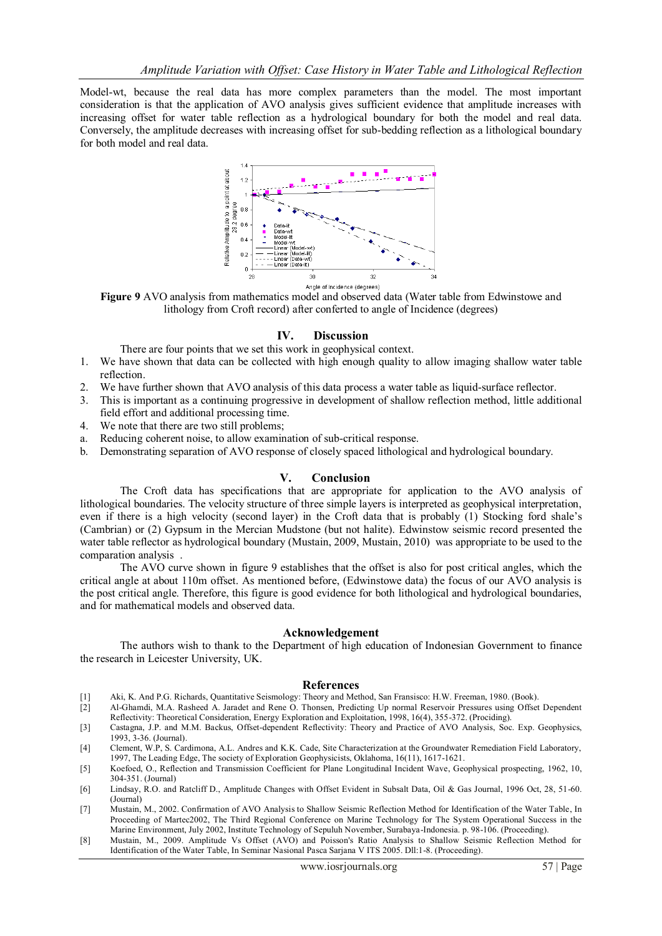Model-wt, because the real data has more complex parameters than the model. The most important consideration is that the application of AVO analysis gives sufficient evidence that amplitude increases with increasing offset for water table reflection as a hydrological boundary for both the model and real data. Conversely, the amplitude decreases with increasing offset for sub-bedding reflection as a lithological boundary for both model and real data.



**Figure 9** AVO analysis from mathematics model and observed data (Water table from Edwinstowe and lithology from Croft record) after conferted to angle of Incidence (degrees)

## **IV. Discussion**

There are four points that we set this work in geophysical context.

- 1. We have shown that data can be collected with high enough quality to allow imaging shallow water table reflection.
- 2. We have further shown that AVO analysis of this data process a water table as liquid-surface reflector.
- 3. This is important as a continuing progressive in development of shallow reflection method, little additional field effort and additional processing time.
- 4. We note that there are two still problems;
- a. Reducing coherent noise, to allow examination of sub-critical response.
- b. Demonstrating separation of AVO response of closely spaced lithological and hydrological boundary.

#### **V. Conclusion**

The Croft data has specifications that are appropriate for application to the AVO analysis of lithological boundaries. The velocity structure of three simple layers is interpreted as geophysical interpretation, even if there is a high velocity (second layer) in the Croft data that is probably (1) Stocking ford shale's (Cambrian) or (2) Gypsum in the Mercian Mudstone (but not halite). Edwinstow seismic record presented the water table reflector as hydrological boundary (Mustain, 2009, Mustain, 2010) was appropriate to be used to the comparation analysis .

The AVO curve shown in figure 9 establishes that the offset is also for post critical angles, which the critical angle at about 110m offset. As mentioned before, (Edwinstowe data) the focus of our AVO analysis is the post critical angle. Therefore, this figure is good evidence for both lithological and hydrological boundaries, and for mathematical models and observed data.

#### **Acknowledgement**

The authors wish to thank to the Department of high education of Indonesian Government to finance the research in Leicester University, UK.

#### **References**

- [1] Aki, K. And P.G. Richards, Quantitative Seismology: Theory and Method, San Fransisco: H.W. Freeman, 1980. (Book).
- [2] Al-Ghamdi, M.A. Rasheed A. Jaradet and Rene O. Thonsen, Predicting Up normal Reservoir Pressures using Offset Dependent Reflectivity: Theoretical Consideration, Energy Exploration and Exploitation, 1998, 16(4), 355-372. (Prociding).
- [3] Castagna, J.P. and M.M. Backus, Offset-dependent Reflectivity: Theory and Practice of AVO Analysis, Soc. Exp. Geophysics, 1993, 3-36. (Journal).
- [4] Clement, W.P, S. Cardimona, A.L. Andres and K.K. Cade, Site Characterization at the Groundwater Remediation Field Laboratory, 1997, The Leading Edge, The society of Exploration Geophysicists, Oklahoma, 16(11), 1617-1621.
- [5] Koefoed, O., Reflection and Transmission Coefficient for Plane Longitudinal Incident Wave, Geophysical prospecting, 1962, 10, 304-351. (Journal)
- [6] Lindsay, R.O. and Ratcliff D., Amplitude Changes with Offset Evident in Subsalt Data, Oil & Gas Journal, 1996 Oct, 28, 51-60. (Journal)
- [7] Mustain, M., 2002. Confirmation of AVO Analysis to Shallow Seismic Reflection Method for Identification of the Water Table, In Proceeding of Martec2002, The Third Regional Conference on Marine Technology for The System Operational Success in the Marine Environment, July 2002, Institute Technology of Sepuluh November, Surabaya-Indonesia. p. 98-106. (Proceeding).
- [8] Mustain, M., 2009. Amplitude Vs Offset (AVO) and Poisson's Ratio Analysis to Shallow Seismic Reflection Method for Identification of the Water Table, In Seminar Nasional Pasca Sarjana V ITS 2005. Dll:1-8. (Proceeding).